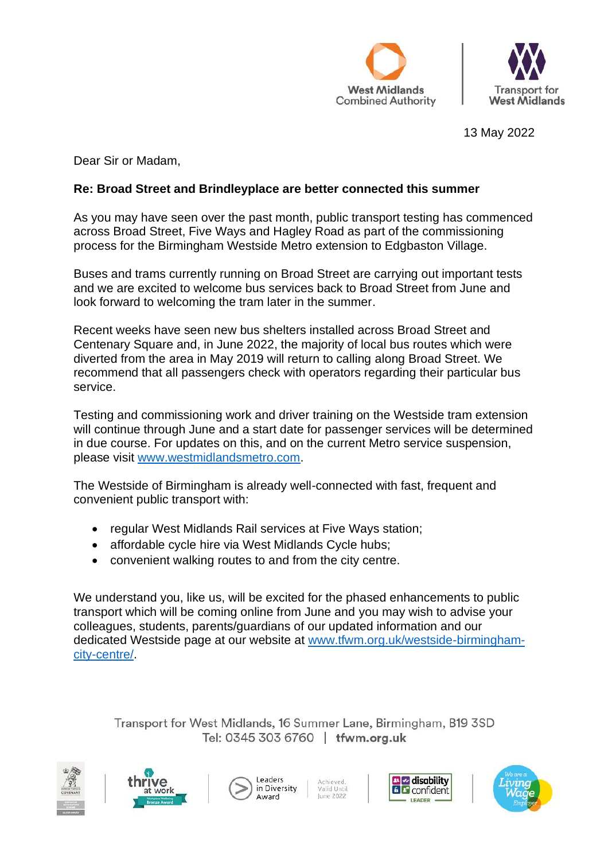



13 May 2022

Dear Sir or Madam,

## **Re: Broad Street and Brindleyplace are better connected this summer**

As you may have seen over the past month, public transport testing has commenced across Broad Street, Five Ways and Hagley Road as part of the commissioning process for the Birmingham Westside Metro extension to Edgbaston Village.

Buses and trams currently running on Broad Street are carrying out important tests and we are excited to welcome bus services back to Broad Street from June and look forward to welcoming the tram later in the summer.

Recent weeks have seen new bus shelters installed across Broad Street and Centenary Square and, in June 2022, the majority of local bus routes which were diverted from the area in May 2019 will return to calling along Broad Street. We recommend that all passengers check with operators regarding their particular bus service.

Testing and commissioning work and driver training on the Westside tram extension will continue through June and a start date for passenger services will be determined in due course. For updates on this, and on the current Metro service suspension, please visit [www.westmidlandsmetro.com.](http://www.westmidlandsmetro.com/)

The Westside of Birmingham is already well-connected with fast, frequent and convenient public transport with:

- regular West Midlands Rail services at Five Ways station;
- affordable cycle hire via West Midlands Cycle hubs;
- convenient walking routes to and from the city centre.

We understand you, like us, will be excited for the phased enhancements to public transport which will be coming online from June and you may wish to advise your colleagues, students, parents/guardians of our updated information and our dedicated Westside page at our website at [www.tfwm.org.uk/westside-birmingham](https://www.tfwm.org.uk/westside-birmingham-city-centre/)[city-centre/.](https://www.tfwm.org.uk/westside-birmingham-city-centre/)

Transport for West Midlands, 16 Summer Lane, Birmingham, B19 3SD Tel: 0345 303 6760 | tfwm.org.uk







Achieved.<br>Valid Until lune 2022